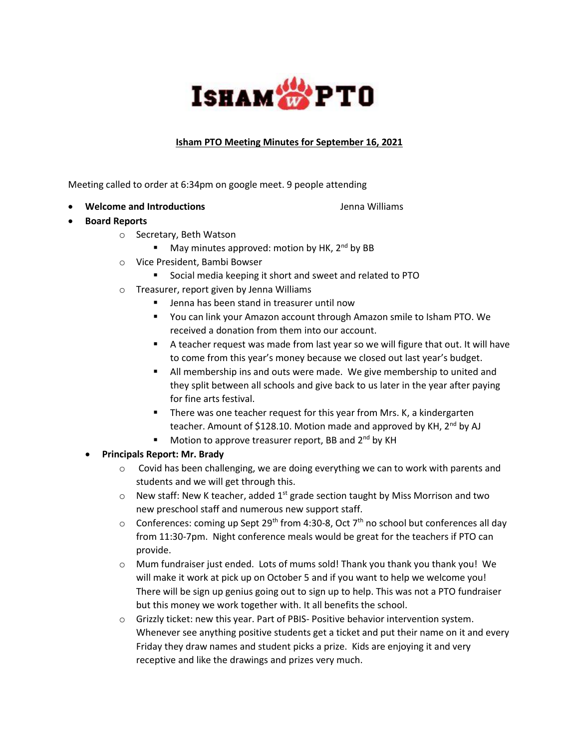

## **Isham PTO Meeting Minutes for September 16, 2021**

Meeting called to order at 6:34pm on google meet. 9 people attending

**• Welcome and Introductions Jenna Williams** 

**Board Reports**

- o Secretary, Beth Watson
	- May minutes approved: motion by HK, 2<sup>nd</sup> by BB
- o Vice President, Bambi Bowser
	- Social media keeping it short and sweet and related to PTO
- o Treasurer, report given by Jenna Williams
	- **E** Jenna has been stand in treasurer until now
	- You can link your Amazon account through Amazon smile to Isham PTO. We received a donation from them into our account.
	- A teacher request was made from last year so we will figure that out. It will have to come from this year's money because we closed out last year's budget.
	- All membership ins and outs were made. We give membership to united and they split between all schools and give back to us later in the year after paying for fine arts festival.
	- There was one teacher request for this year from Mrs. K, a kindergarten teacher. Amount of \$128.10. Motion made and approved by KH, 2<sup>nd</sup> by AJ
	- Motion to approve treasurer report, BB and 2<sup>nd</sup> by KH
- **Principals Report: Mr. Brady**
	- $\circ$  Covid has been challenging, we are doing everything we can to work with parents and students and we will get through this.
	- $\circ$  New staff: New K teacher, added 1<sup>st</sup> grade section taught by Miss Morrison and two new preschool staff and numerous new support staff.
	- $\circ$  Conferences: coming up Sept 29<sup>th</sup> from 4:30-8, Oct 7<sup>th</sup> no school but conferences all day from 11:30-7pm. Night conference meals would be great for the teachers if PTO can provide.
	- $\circ$  Mum fundraiser just ended. Lots of mums sold! Thank you thank you thank you! We will make it work at pick up on October 5 and if you want to help we welcome you! There will be sign up genius going out to sign up to help. This was not a PTO fundraiser but this money we work together with. It all benefits the school.
	- $\circ$  Grizzly ticket: new this year. Part of PBIS- Positive behavior intervention system. Whenever see anything positive students get a ticket and put their name on it and every Friday they draw names and student picks a prize. Kids are enjoying it and very receptive and like the drawings and prizes very much.